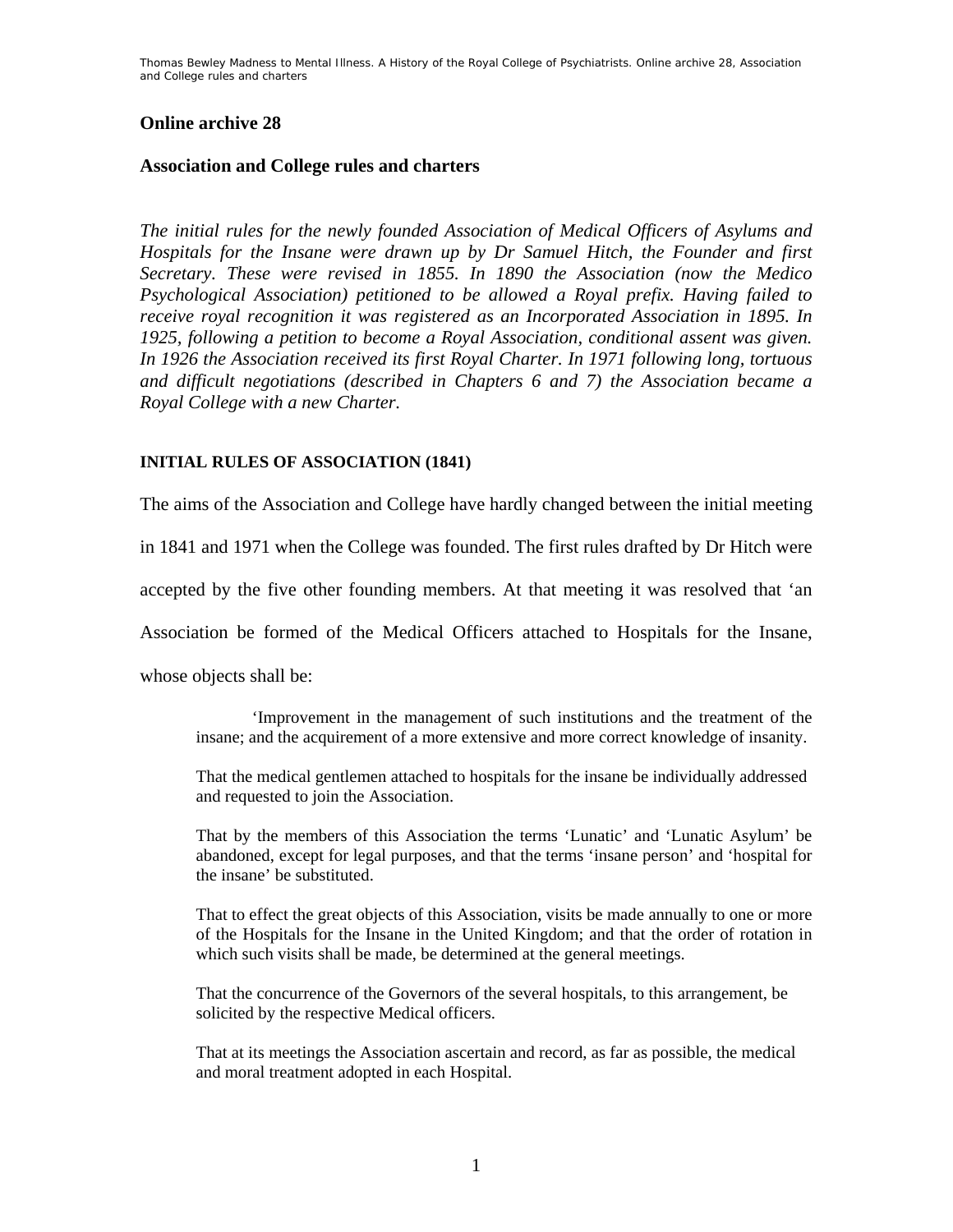## **Online archive 28**

### **Association and College rules and charters**

*The initial rules for the newly founded Association of Medical Officers of Asylums and Hospitals for the Insane were drawn up by Dr Samuel Hitch, the Founder and first Secretary. These were revised in 1855. In 1890 the Association (now the Medico Psychological Association) petitioned to be allowed a Royal prefix. Having failed to receive royal recognition it was registered as an Incorporated Association in 1895. In 1925, following a petition to become a Royal Association, conditional assent was given. In 1926 the Association received its first Royal Charter. In 1971 following long, tortuous and difficult negotiations (described in Chapters 6 and 7) the Association became a Royal College with a new Charter.* 

#### **INITIAL RULES OF ASSOCIATION (1841)**

The aims of the Association and College have hardly changed between the initial meeting

in 1841 and 1971 when the College was founded. The first rules drafted by Dr Hitch were

accepted by the five other founding members. At that meeting it was resolved that 'an

Association be formed of the Medical Officers attached to Hospitals for the Insane,

whose objects shall be:

'Improvement in the management of such institutions and the treatment of the insane; and the acquirement of a more extensive and more correct knowledge of insanity.

That the medical gentlemen attached to hospitals for the insane be individually addressed and requested to join the Association.

That by the members of this Association the terms 'Lunatic' and 'Lunatic Asylum' be abandoned, except for legal purposes, and that the terms 'insane person' and 'hospital for the insane' be substituted.

That to effect the great objects of this Association, visits be made annually to one or more of the Hospitals for the Insane in the United Kingdom; and that the order of rotation in which such visits shall be made, be determined at the general meetings.

That the concurrence of the Governors of the several hospitals, to this arrangement, be solicited by the respective Medical officers.

That at its meetings the Association ascertain and record, as far as possible, the medical and moral treatment adopted in each Hospital.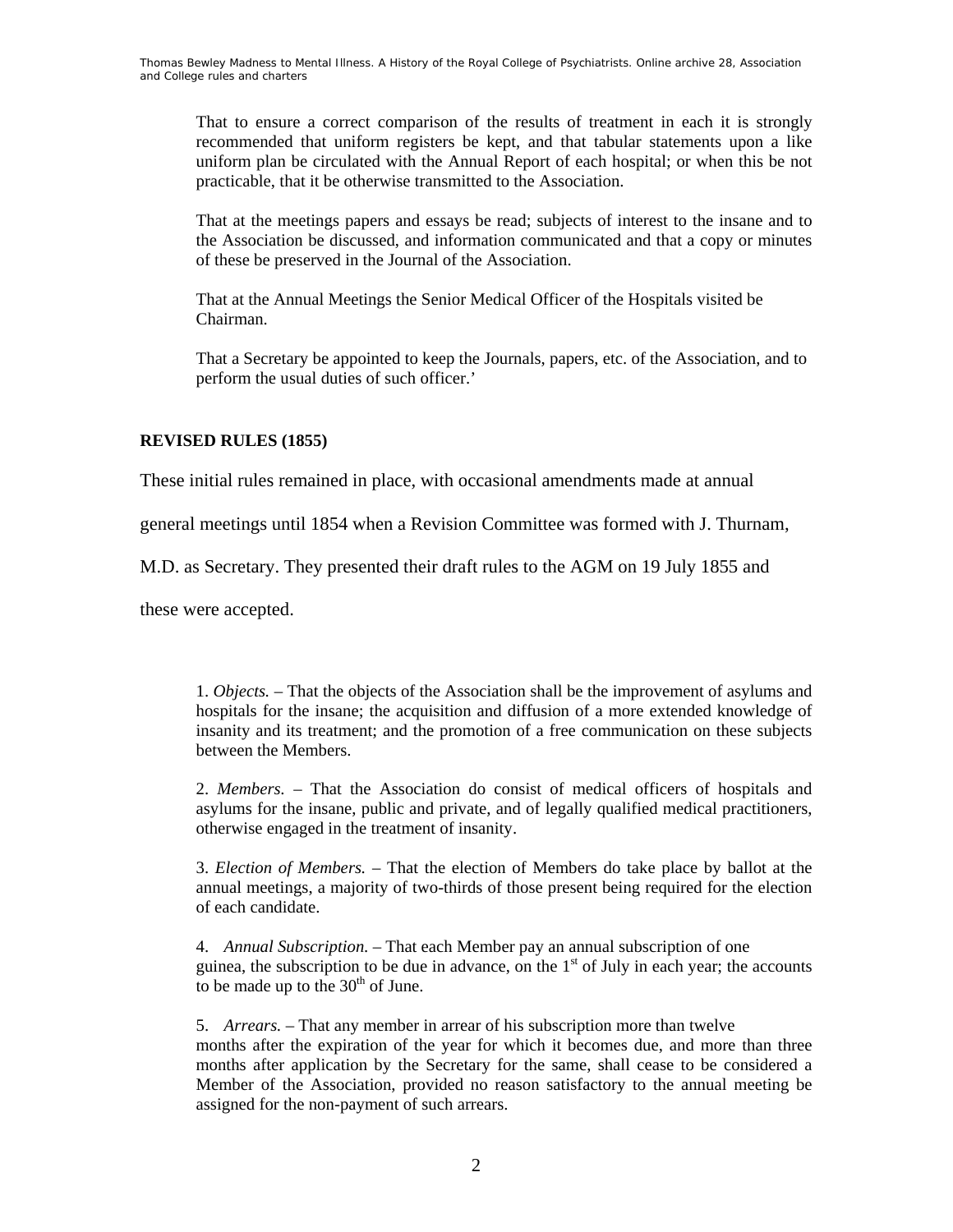That to ensure a correct comparison of the results of treatment in each it is strongly recommended that uniform registers be kept, and that tabular statements upon a like uniform plan be circulated with the Annual Report of each hospital; or when this be not practicable, that it be otherwise transmitted to the Association.

That at the meetings papers and essays be read; subjects of interest to the insane and to the Association be discussed, and information communicated and that a copy or minutes of these be preserved in the Journal of the Association.

That at the Annual Meetings the Senior Medical Officer of the Hospitals visited be Chairman.

That a Secretary be appointed to keep the Journals, papers, etc. of the Association, and to perform the usual duties of such officer.'

#### **REVISED RULES (1855)**

These initial rules remained in place, with occasional amendments made at annual

general meetings until 1854 when a Revision Committee was formed with J. Thurnam,

M.D. as Secretary. They presented their draft rules to the AGM on 19 July 1855 and

these were accepted.

1. *Objects.* – That the objects of the Association shall be the improvement of asylums and hospitals for the insane; the acquisition and diffusion of a more extended knowledge of insanity and its treatment; and the promotion of a free communication on these subjects between the Members.

2. *Members. –* That the Association do consist of medical officers of hospitals and asylums for the insane, public and private, and of legally qualified medical practitioners, otherwise engaged in the treatment of insanity.

3. *Election of Members. –* That the election of Members do take place by ballot at the annual meetings, a majority of two-thirds of those present being required for the election of each candidate.

4. *Annual Subscription.* – That each Member pay an annual subscription of one guinea, the subscription to be due in advance, on the  $1<sup>st</sup>$  of July in each year; the accounts to be made up to the  $30<sup>th</sup>$  of June.

5. *Arrears.* – That any member in arrear of his subscription more than twelve months after the expiration of the year for which it becomes due, and more than three months after application by the Secretary for the same, shall cease to be considered a Member of the Association, provided no reason satisfactory to the annual meeting be assigned for the non-payment of such arrears.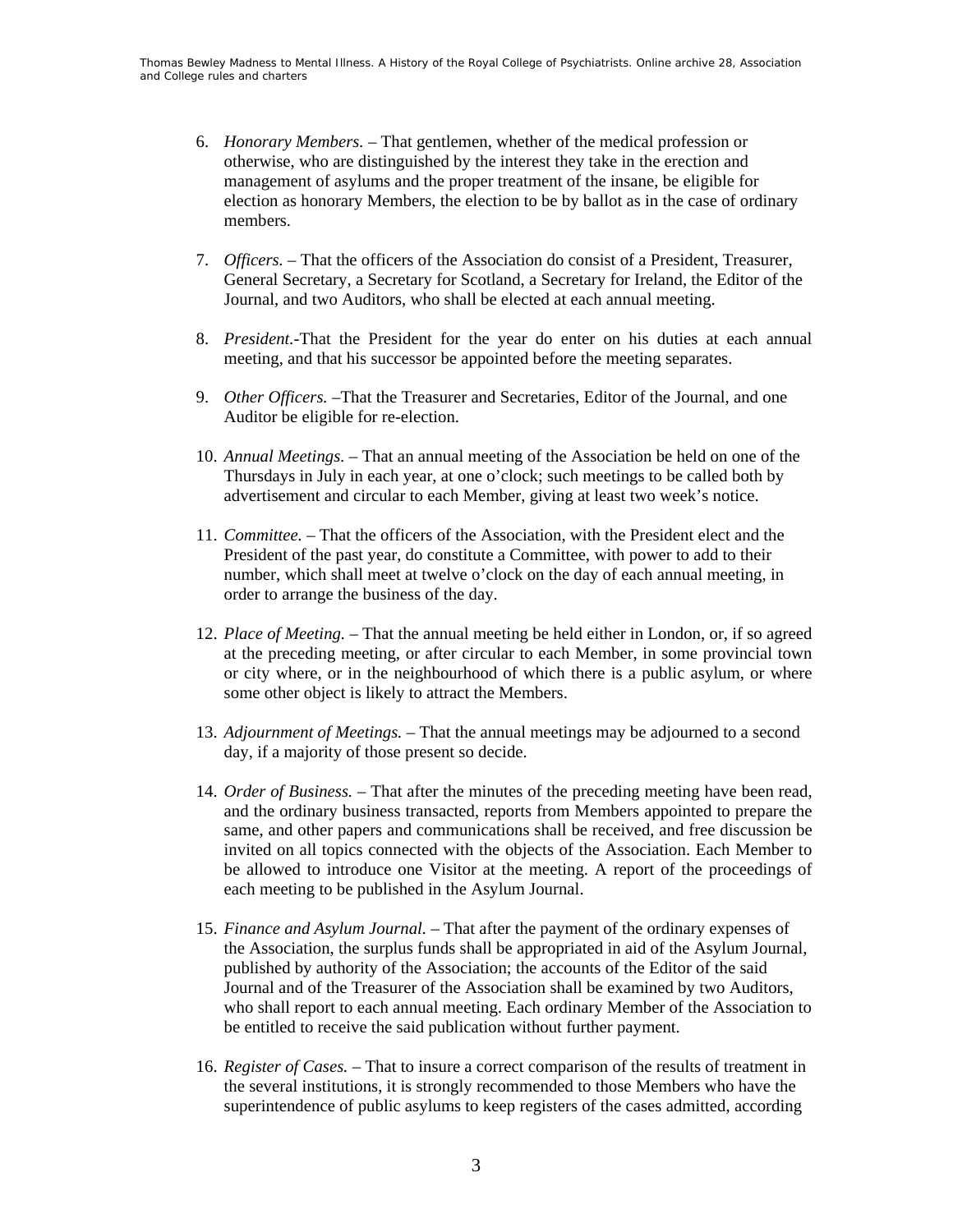- 6. *Honorary Members.* That gentlemen, whether of the medical profession or otherwise, who are distinguished by the interest they take in the erection and management of asylums and the proper treatment of the insane, be eligible for election as honorary Members, the election to be by ballot as in the case of ordinary members.
- 7. *Officers. –* That the officers of the Association do consist of a President, Treasurer, General Secretary, a Secretary for Scotland, a Secretary for Ireland, the Editor of the Journal, and two Auditors, who shall be elected at each annual meeting.
- 8. *President.-*That the President for the year do enter on his duties at each annual meeting, and that his successor be appointed before the meeting separates.
- 9. *Other Officers. –*That the Treasurer and Secretaries, Editor of the Journal, and one Auditor be eligible for re-election.
- 10. *Annual Meetings.* That an annual meeting of the Association be held on one of the Thursdays in July in each year, at one o'clock; such meetings to be called both by advertisement and circular to each Member, giving at least two week's notice.
- 11. *Committee.* That the officers of the Association, with the President elect and the President of the past year, do constitute a Committee, with power to add to their number, which shall meet at twelve o'clock on the day of each annual meeting, in order to arrange the business of the day.
- 12. *Place of Meeting. –* That the annual meeting be held either in London, or, if so agreed at the preceding meeting, or after circular to each Member, in some provincial town or city where, or in the neighbourhood of which there is a public asylum, or where some other object is likely to attract the Members.
- 13. *Adjournment of Meetings.* That the annual meetings may be adjourned to a second day, if a majority of those present so decide.
- 14. *Order of Business.* That after the minutes of the preceding meeting have been read, and the ordinary business transacted, reports from Members appointed to prepare the same, and other papers and communications shall be received, and free discussion be invited on all topics connected with the objects of the Association. Each Member to be allowed to introduce one Visitor at the meeting. A report of the proceedings of each meeting to be published in the Asylum Journal.
- 15. *Finance and Asylum Journal.* That after the payment of the ordinary expenses of the Association, the surplus funds shall be appropriated in aid of the Asylum Journal, published by authority of the Association; the accounts of the Editor of the said Journal and of the Treasurer of the Association shall be examined by two Auditors, who shall report to each annual meeting. Each ordinary Member of the Association to be entitled to receive the said publication without further payment.
- 16. *Register of Cases. –* That to insure a correct comparison of the results of treatment in the several institutions, it is strongly recommended to those Members who have the superintendence of public asylums to keep registers of the cases admitted, according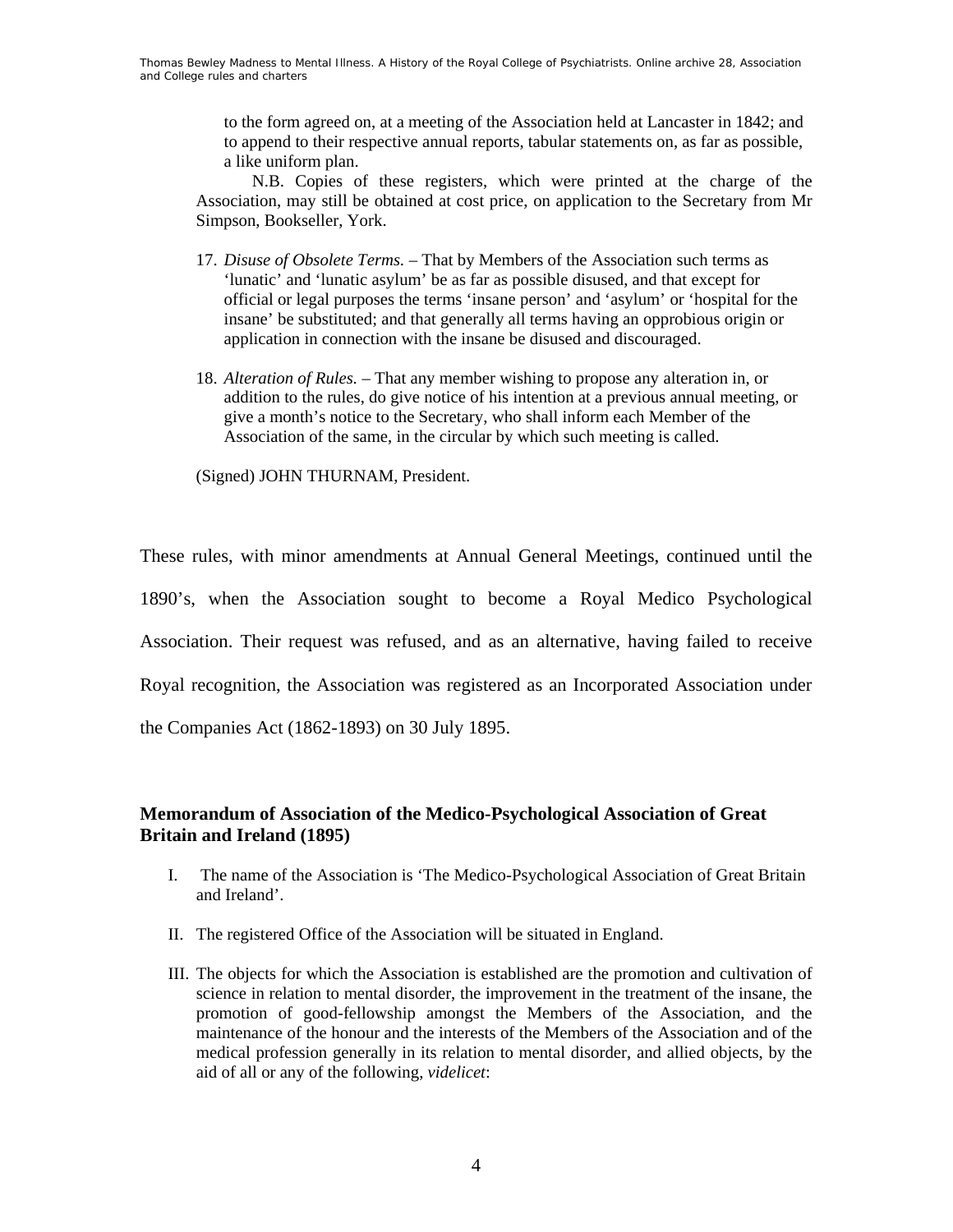to the form agreed on, at a meeting of the Association held at Lancaster in 1842; and to append to their respective annual reports, tabular statements on, as far as possible, a like uniform plan.

N.B. Copies of these registers, which were printed at the charge of the Association, may still be obtained at cost price, on application to the Secretary from Mr Simpson, Bookseller, York.

- 17. *Disuse of Obsolete Terms.* That by Members of the Association such terms as 'lunatic' and 'lunatic asylum' be as far as possible disused, and that except for official or legal purposes the terms 'insane person' and 'asylum' or 'hospital for the insane' be substituted; and that generally all terms having an opprobious origin or application in connection with the insane be disused and discouraged.
- 18. *Alteration of Rules. –* That any member wishing to propose any alteration in, or addition to the rules, do give notice of his intention at a previous annual meeting, or give a month's notice to the Secretary, who shall inform each Member of the Association of the same, in the circular by which such meeting is called.

(Signed) JOHN THURNAM, President.

These rules, with minor amendments at Annual General Meetings, continued until the 1890's, when the Association sought to become a Royal Medico Psychological Association. Their request was refused, and as an alternative, having failed to receive Royal recognition, the Association was registered as an Incorporated Association under the Companies Act (1862-1893) on 30 July 1895.

## **Memorandum of Association of the Medico-Psychological Association of Great Britain and Ireland (1895)**

- I. The name of the Association is 'The Medico-Psychological Association of Great Britain and Ireland'.
- II. The registered Office of the Association will be situated in England.
- III. The objects for which the Association is established are the promotion and cultivation of science in relation to mental disorder, the improvement in the treatment of the insane, the promotion of good-fellowship amongst the Members of the Association, and the maintenance of the honour and the interests of the Members of the Association and of the medical profession generally in its relation to mental disorder, and allied objects, by the aid of all or any of the following, *videlicet*: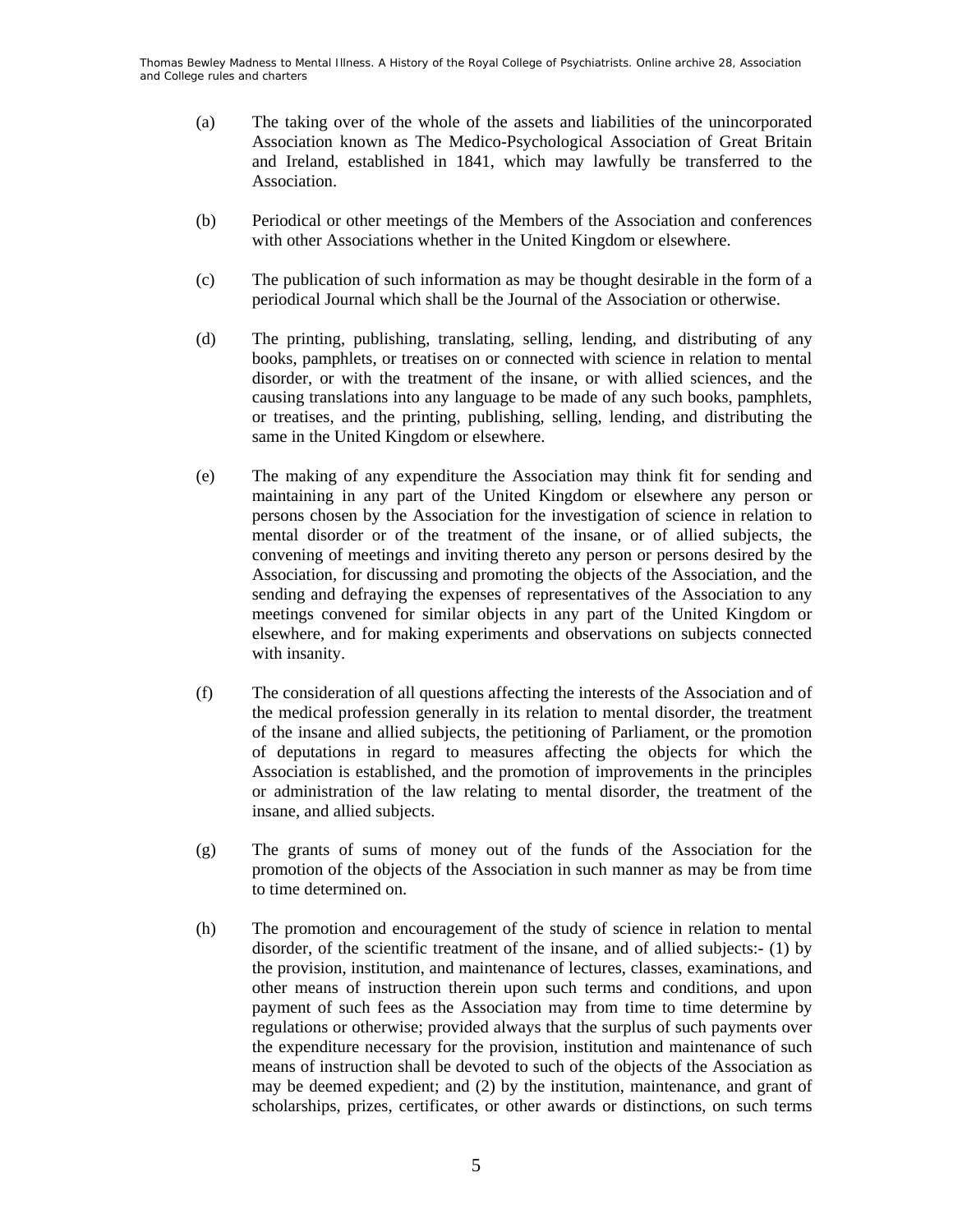- (a) The taking over of the whole of the assets and liabilities of the unincorporated Association known as The Medico-Psychological Association of Great Britain and Ireland, established in 1841, which may lawfully be transferred to the Association.
- (b) Periodical or other meetings of the Members of the Association and conferences with other Associations whether in the United Kingdom or elsewhere.
- (c) The publication of such information as may be thought desirable in the form of a periodical Journal which shall be the Journal of the Association or otherwise.
- (d) The printing, publishing, translating, selling, lending, and distributing of any books, pamphlets, or treatises on or connected with science in relation to mental disorder, or with the treatment of the insane, or with allied sciences, and the causing translations into any language to be made of any such books, pamphlets, or treatises, and the printing, publishing, selling, lending, and distributing the same in the United Kingdom or elsewhere.
- (e) The making of any expenditure the Association may think fit for sending and maintaining in any part of the United Kingdom or elsewhere any person or persons chosen by the Association for the investigation of science in relation to mental disorder or of the treatment of the insane, or of allied subjects, the convening of meetings and inviting thereto any person or persons desired by the Association, for discussing and promoting the objects of the Association, and the sending and defraying the expenses of representatives of the Association to any meetings convened for similar objects in any part of the United Kingdom or elsewhere, and for making experiments and observations on subjects connected with insanity.
- (f) The consideration of all questions affecting the interests of the Association and of the medical profession generally in its relation to mental disorder, the treatment of the insane and allied subjects, the petitioning of Parliament, or the promotion of deputations in regard to measures affecting the objects for which the Association is established, and the promotion of improvements in the principles or administration of the law relating to mental disorder, the treatment of the insane, and allied subjects.
- (g) The grants of sums of money out of the funds of the Association for the promotion of the objects of the Association in such manner as may be from time to time determined on.
- (h) The promotion and encouragement of the study of science in relation to mental disorder, of the scientific treatment of the insane, and of allied subjects:- (1) by the provision, institution, and maintenance of lectures, classes, examinations, and other means of instruction therein upon such terms and conditions, and upon payment of such fees as the Association may from time to time determine by regulations or otherwise; provided always that the surplus of such payments over the expenditure necessary for the provision, institution and maintenance of such means of instruction shall be devoted to such of the objects of the Association as may be deemed expedient; and (2) by the institution, maintenance, and grant of scholarships, prizes, certificates, or other awards or distinctions, on such terms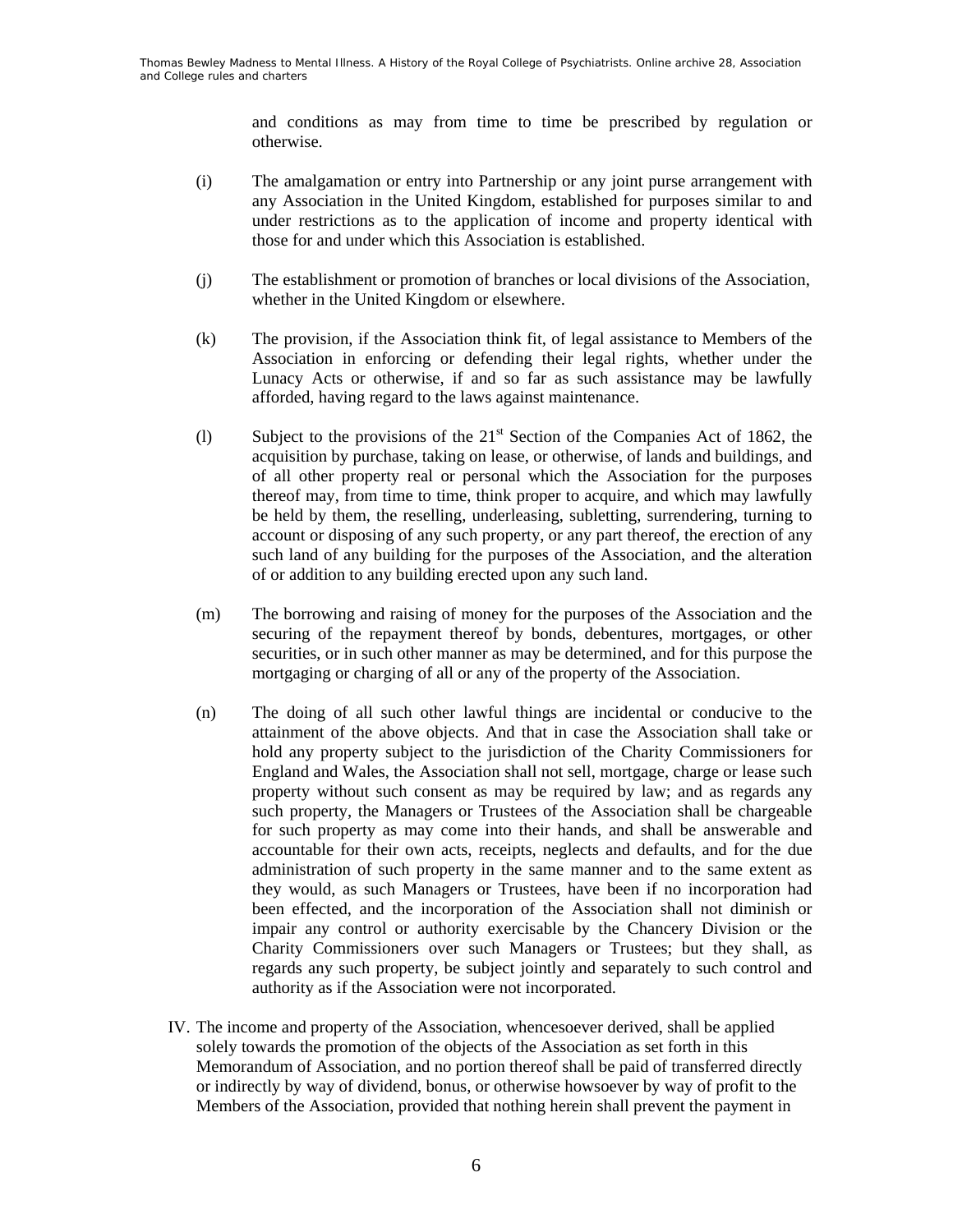and conditions as may from time to time be prescribed by regulation or otherwise.

- (i) The amalgamation or entry into Partnership or any joint purse arrangement with any Association in the United Kingdom, established for purposes similar to and under restrictions as to the application of income and property identical with those for and under which this Association is established.
- (j) The establishment or promotion of branches or local divisions of the Association, whether in the United Kingdom or elsewhere.
- (k) The provision, if the Association think fit, of legal assistance to Members of the Association in enforcing or defending their legal rights, whether under the Lunacy Acts or otherwise, if and so far as such assistance may be lawfully afforded, having regard to the laws against maintenance.
- (l) Subject to the provisions of the  $21<sup>st</sup>$  Section of the Companies Act of 1862, the acquisition by purchase, taking on lease, or otherwise, of lands and buildings, and of all other property real or personal which the Association for the purposes thereof may, from time to time, think proper to acquire, and which may lawfully be held by them, the reselling, underleasing, subletting, surrendering, turning to account or disposing of any such property, or any part thereof, the erection of any such land of any building for the purposes of the Association, and the alteration of or addition to any building erected upon any such land.
- (m) The borrowing and raising of money for the purposes of the Association and the securing of the repayment thereof by bonds, debentures, mortgages, or other securities, or in such other manner as may be determined, and for this purpose the mortgaging or charging of all or any of the property of the Association.
- (n) The doing of all such other lawful things are incidental or conducive to the attainment of the above objects. And that in case the Association shall take or hold any property subject to the jurisdiction of the Charity Commissioners for England and Wales, the Association shall not sell, mortgage, charge or lease such property without such consent as may be required by law; and as regards any such property, the Managers or Trustees of the Association shall be chargeable for such property as may come into their hands, and shall be answerable and accountable for their own acts, receipts, neglects and defaults, and for the due administration of such property in the same manner and to the same extent as they would, as such Managers or Trustees, have been if no incorporation had been effected, and the incorporation of the Association shall not diminish or impair any control or authority exercisable by the Chancery Division or the Charity Commissioners over such Managers or Trustees; but they shall, as regards any such property, be subject jointly and separately to such control and authority as if the Association were not incorporated.
- IV. The income and property of the Association, whencesoever derived, shall be applied solely towards the promotion of the objects of the Association as set forth in this Memorandum of Association, and no portion thereof shall be paid of transferred directly or indirectly by way of dividend, bonus, or otherwise howsoever by way of profit to the Members of the Association, provided that nothing herein shall prevent the payment in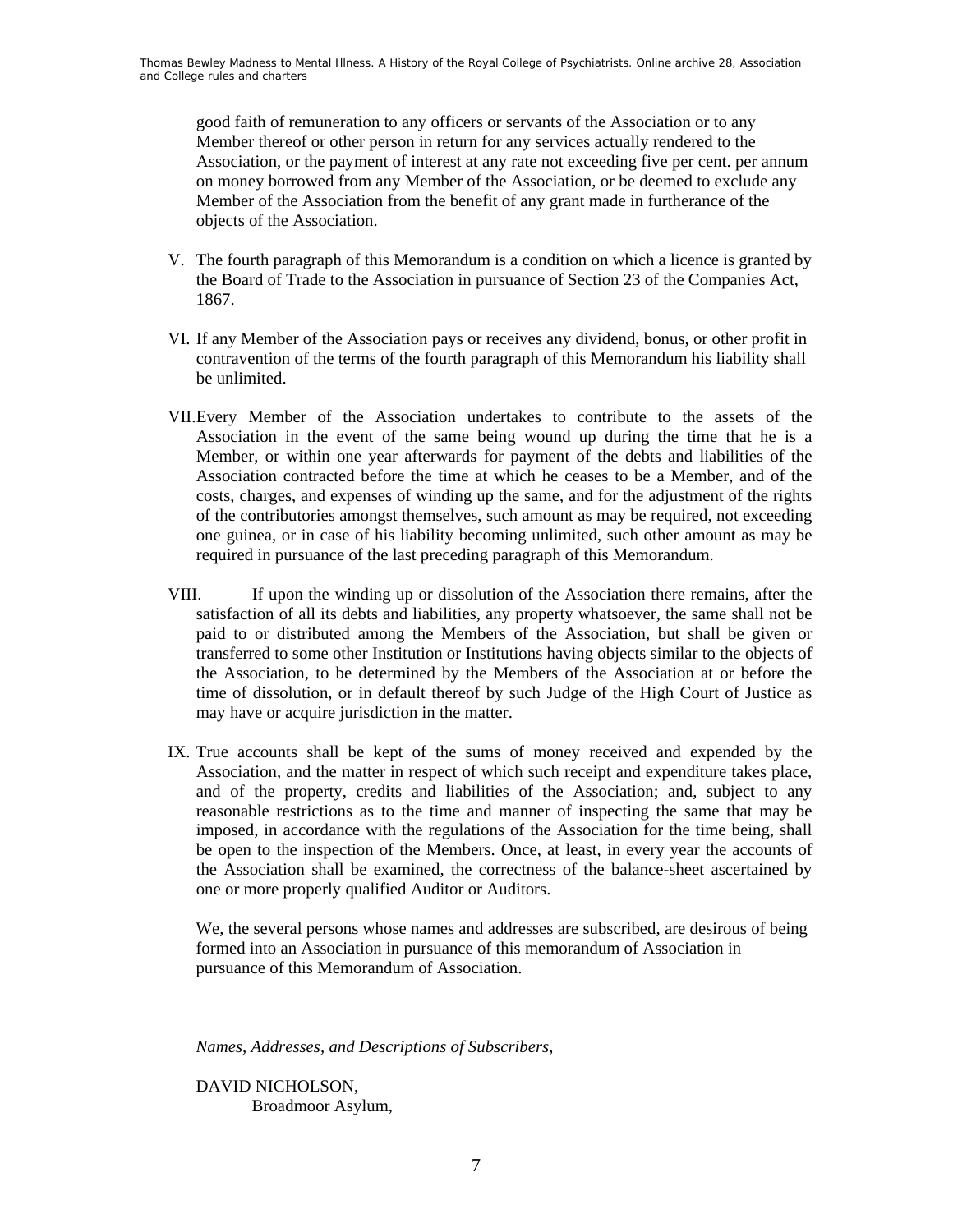good faith of remuneration to any officers or servants of the Association or to any Member thereof or other person in return for any services actually rendered to the Association, or the payment of interest at any rate not exceeding five per cent. per annum on money borrowed from any Member of the Association, or be deemed to exclude any Member of the Association from the benefit of any grant made in furtherance of the objects of the Association.

- V. The fourth paragraph of this Memorandum is a condition on which a licence is granted by the Board of Trade to the Association in pursuance of Section 23 of the Companies Act, 1867.
- VI. If any Member of the Association pays or receives any dividend, bonus, or other profit in contravention of the terms of the fourth paragraph of this Memorandum his liability shall be unlimited.
- VII.Every Member of the Association undertakes to contribute to the assets of the Association in the event of the same being wound up during the time that he is a Member, or within one year afterwards for payment of the debts and liabilities of the Association contracted before the time at which he ceases to be a Member, and of the costs, charges, and expenses of winding up the same, and for the adjustment of the rights of the contributories amongst themselves, such amount as may be required, not exceeding one guinea, or in case of his liability becoming unlimited, such other amount as may be required in pursuance of the last preceding paragraph of this Memorandum.
- VIII. If upon the winding up or dissolution of the Association there remains, after the satisfaction of all its debts and liabilities, any property whatsoever, the same shall not be paid to or distributed among the Members of the Association, but shall be given or transferred to some other Institution or Institutions having objects similar to the objects of the Association, to be determined by the Members of the Association at or before the time of dissolution, or in default thereof by such Judge of the High Court of Justice as may have or acquire jurisdiction in the matter.
- IX. True accounts shall be kept of the sums of money received and expended by the Association, and the matter in respect of which such receipt and expenditure takes place, and of the property, credits and liabilities of the Association; and, subject to any reasonable restrictions as to the time and manner of inspecting the same that may be imposed, in accordance with the regulations of the Association for the time being, shall be open to the inspection of the Members. Once, at least, in every year the accounts of the Association shall be examined, the correctness of the balance-sheet ascertained by one or more properly qualified Auditor or Auditors.

We, the several persons whose names and addresses are subscribed, are desirous of being formed into an Association in pursuance of this memorandum of Association in pursuance of this Memorandum of Association.

*Names, Addresses, and Descriptions of Subscribers,*

DAVID NICHOLSON, Broadmoor Asylum,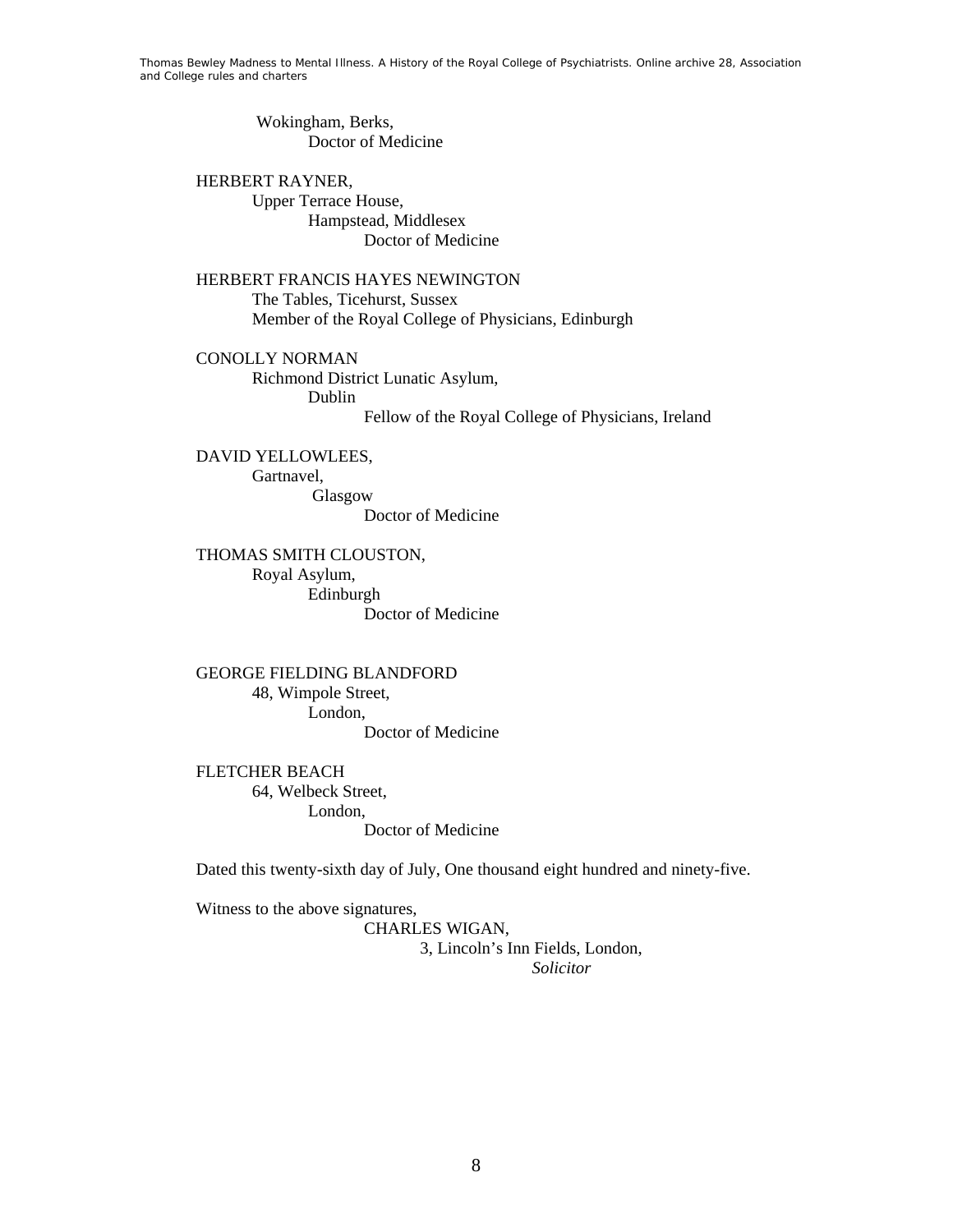> Wokingham, Berks, Doctor of Medicine

HERBERT RAYNER, Upper Terrace House, Hampstead, Middlesex Doctor of Medicine

HERBERT FRANCIS HAYES NEWINGTON The Tables, Ticehurst, Sussex Member of the Royal College of Physicians, Edinburgh

CONOLLY NORMAN Richmond District Lunatic Asylum, Dublin Fellow of the Royal College of Physicians, Ireland

DAVID YELLOWLEES, Gartnavel,

 Glasgow Doctor of Medicine

THOMAS SMITH CLOUSTON, Royal Asylum, Edinburgh Doctor of Medicine

GEORGE FIELDING BLANDFORD 48, Wimpole Street, London, Doctor of Medicine

FLETCHER BEACH 64, Welbeck Street, London, Doctor of Medicine

Dated this twenty-sixth day of July, One thousand eight hundred and ninety-five.

Witness to the above signatures, CHARLES WIGAN, 3, Lincoln's Inn Fields, London, *Solicitor*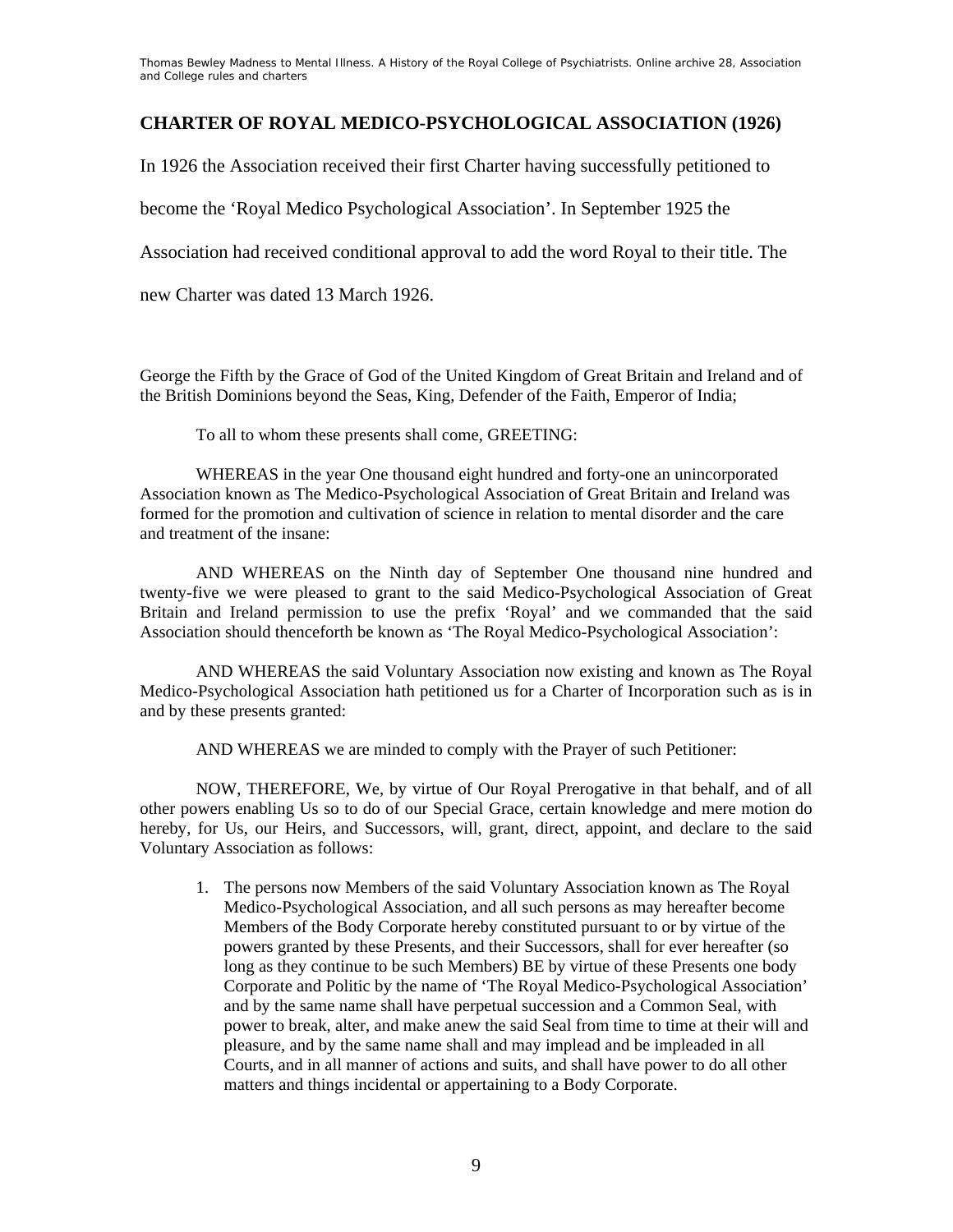## **CHARTER OF ROYAL MEDICO-PSYCHOLOGICAL ASSOCIATION (1926)**

In 1926 the Association received their first Charter having successfully petitioned to

become the 'Royal Medico Psychological Association'. In September 1925 the

Association had received conditional approval to add the word Royal to their title. The

new Charter was dated 13 March 1926.

George the Fifth by the Grace of God of the United Kingdom of Great Britain and Ireland and of the British Dominions beyond the Seas, King, Defender of the Faith, Emperor of India;

To all to whom these presents shall come, GREETING:

 WHEREAS in the year One thousand eight hundred and forty-one an unincorporated Association known as The Medico-Psychological Association of Great Britain and Ireland was formed for the promotion and cultivation of science in relation to mental disorder and the care and treatment of the insane:

 AND WHEREAS on the Ninth day of September One thousand nine hundred and twenty-five we were pleased to grant to the said Medico-Psychological Association of Great Britain and Ireland permission to use the prefix 'Royal' and we commanded that the said Association should thenceforth be known as 'The Royal Medico-Psychological Association':

 AND WHEREAS the said Voluntary Association now existing and known as The Royal Medico-Psychological Association hath petitioned us for a Charter of Incorporation such as is in and by these presents granted:

AND WHEREAS we are minded to comply with the Prayer of such Petitioner:

 NOW, THEREFORE, We, by virtue of Our Royal Prerogative in that behalf, and of all other powers enabling Us so to do of our Special Grace, certain knowledge and mere motion do hereby, for Us, our Heirs, and Successors, will, grant, direct, appoint, and declare to the said Voluntary Association as follows:

1. The persons now Members of the said Voluntary Association known as The Royal Medico-Psychological Association, and all such persons as may hereafter become Members of the Body Corporate hereby constituted pursuant to or by virtue of the powers granted by these Presents, and their Successors, shall for ever hereafter (so long as they continue to be such Members) BE by virtue of these Presents one body Corporate and Politic by the name of 'The Royal Medico-Psychological Association' and by the same name shall have perpetual succession and a Common Seal, with power to break, alter, and make anew the said Seal from time to time at their will and pleasure, and by the same name shall and may implead and be impleaded in all Courts, and in all manner of actions and suits, and shall have power to do all other matters and things incidental or appertaining to a Body Corporate.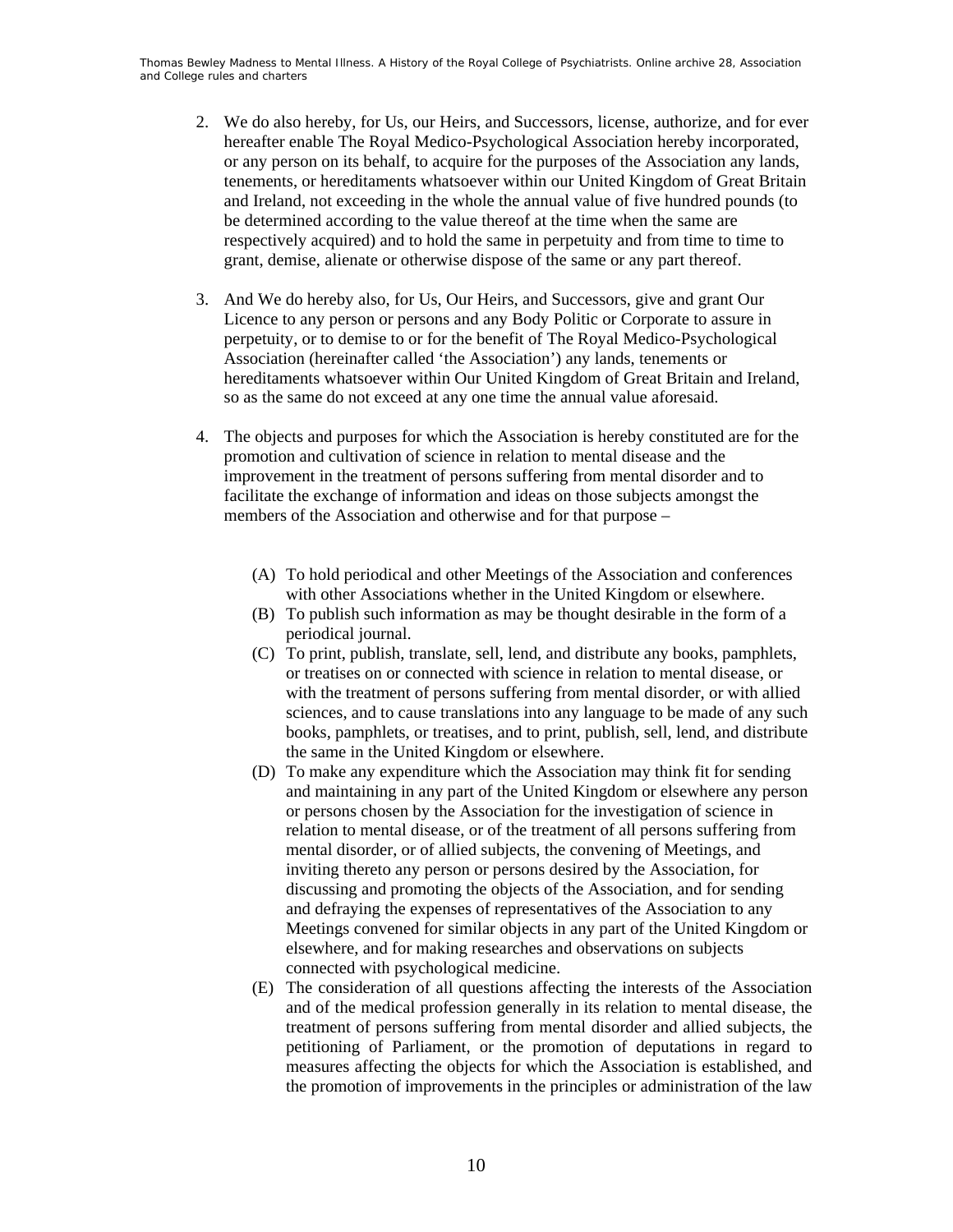- 2. We do also hereby, for Us, our Heirs, and Successors, license, authorize, and for ever hereafter enable The Royal Medico-Psychological Association hereby incorporated, or any person on its behalf, to acquire for the purposes of the Association any lands, tenements, or hereditaments whatsoever within our United Kingdom of Great Britain and Ireland, not exceeding in the whole the annual value of five hundred pounds (to be determined according to the value thereof at the time when the same are respectively acquired) and to hold the same in perpetuity and from time to time to grant, demise, alienate or otherwise dispose of the same or any part thereof.
- 3. And We do hereby also, for Us, Our Heirs, and Successors, give and grant Our Licence to any person or persons and any Body Politic or Corporate to assure in perpetuity, or to demise to or for the benefit of The Royal Medico-Psychological Association (hereinafter called 'the Association') any lands, tenements or hereditaments whatsoever within Our United Kingdom of Great Britain and Ireland, so as the same do not exceed at any one time the annual value aforesaid.
- 4. The objects and purposes for which the Association is hereby constituted are for the promotion and cultivation of science in relation to mental disease and the improvement in the treatment of persons suffering from mental disorder and to facilitate the exchange of information and ideas on those subjects amongst the members of the Association and otherwise and for that purpose –
	- (A) To hold periodical and other Meetings of the Association and conferences with other Associations whether in the United Kingdom or elsewhere.
	- (B) To publish such information as may be thought desirable in the form of a periodical journal.
	- (C) To print, publish, translate, sell, lend, and distribute any books, pamphlets, or treatises on or connected with science in relation to mental disease, or with the treatment of persons suffering from mental disorder, or with allied sciences, and to cause translations into any language to be made of any such books, pamphlets, or treatises, and to print, publish, sell, lend, and distribute the same in the United Kingdom or elsewhere.
	- (D) To make any expenditure which the Association may think fit for sending and maintaining in any part of the United Kingdom or elsewhere any person or persons chosen by the Association for the investigation of science in relation to mental disease, or of the treatment of all persons suffering from mental disorder, or of allied subjects, the convening of Meetings, and inviting thereto any person or persons desired by the Association, for discussing and promoting the objects of the Association, and for sending and defraying the expenses of representatives of the Association to any Meetings convened for similar objects in any part of the United Kingdom or elsewhere, and for making researches and observations on subjects connected with psychological medicine.
	- (E) The consideration of all questions affecting the interests of the Association and of the medical profession generally in its relation to mental disease, the treatment of persons suffering from mental disorder and allied subjects, the petitioning of Parliament, or the promotion of deputations in regard to measures affecting the objects for which the Association is established, and the promotion of improvements in the principles or administration of the law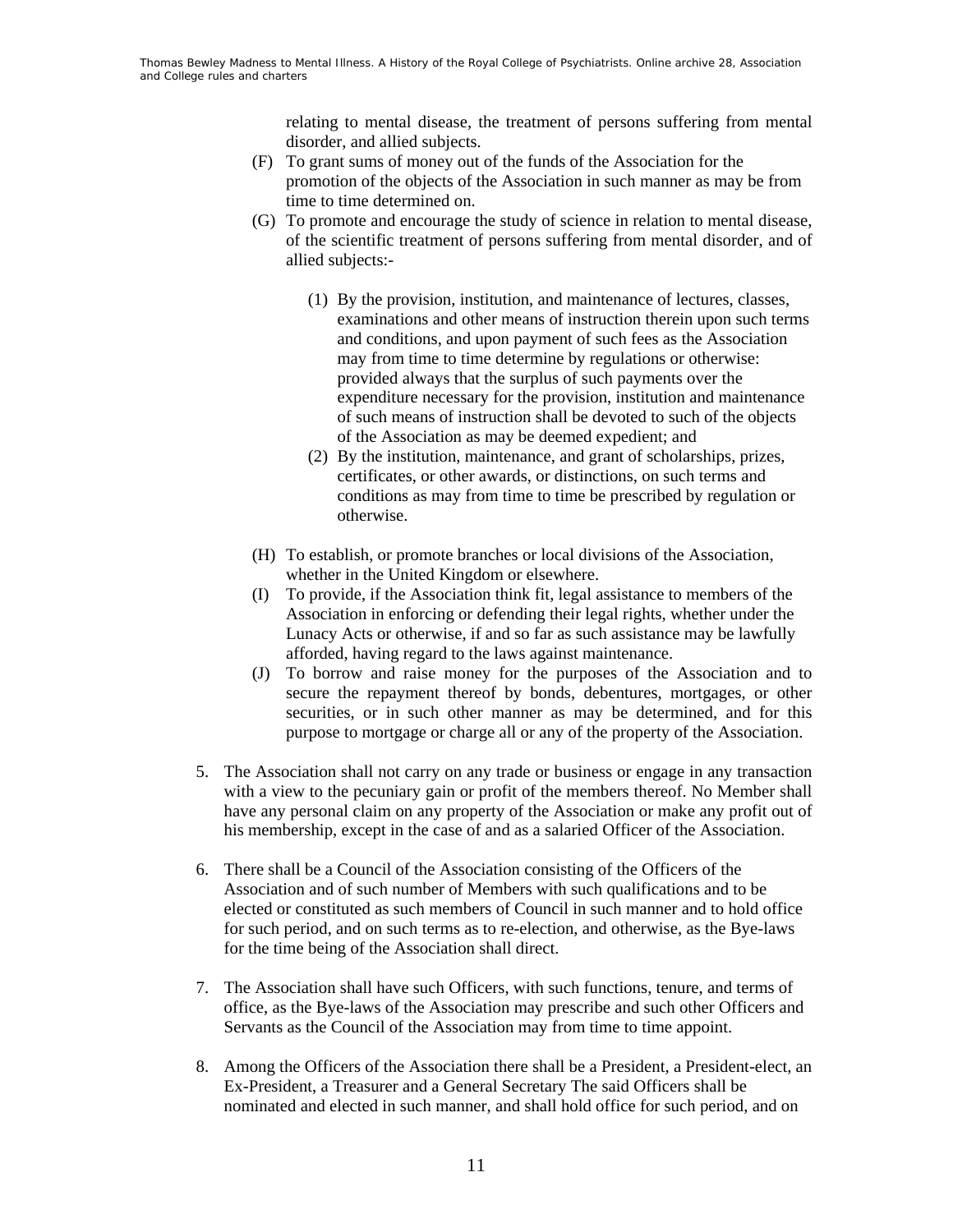relating to mental disease, the treatment of persons suffering from mental disorder, and allied subjects.

- (F) To grant sums of money out of the funds of the Association for the promotion of the objects of the Association in such manner as may be from time to time determined on.
- (G) To promote and encourage the study of science in relation to mental disease, of the scientific treatment of persons suffering from mental disorder, and of allied subjects:-
	- (1) By the provision, institution, and maintenance of lectures, classes, examinations and other means of instruction therein upon such terms and conditions, and upon payment of such fees as the Association may from time to time determine by regulations or otherwise: provided always that the surplus of such payments over the expenditure necessary for the provision, institution and maintenance of such means of instruction shall be devoted to such of the objects of the Association as may be deemed expedient; and
	- (2) By the institution, maintenance, and grant of scholarships, prizes, certificates, or other awards, or distinctions, on such terms and conditions as may from time to time be prescribed by regulation or otherwise.
- (H) To establish, or promote branches or local divisions of the Association, whether in the United Kingdom or elsewhere.
- (I) To provide, if the Association think fit, legal assistance to members of the Association in enforcing or defending their legal rights, whether under the Lunacy Acts or otherwise, if and so far as such assistance may be lawfully afforded, having regard to the laws against maintenance.
- (J) To borrow and raise money for the purposes of the Association and to secure the repayment thereof by bonds, debentures, mortgages, or other securities, or in such other manner as may be determined, and for this purpose to mortgage or charge all or any of the property of the Association.
- 5. The Association shall not carry on any trade or business or engage in any transaction with a view to the pecuniary gain or profit of the members thereof. No Member shall have any personal claim on any property of the Association or make any profit out of his membership, except in the case of and as a salaried Officer of the Association.
- 6. There shall be a Council of the Association consisting of the Officers of the Association and of such number of Members with such qualifications and to be elected or constituted as such members of Council in such manner and to hold office for such period, and on such terms as to re-election, and otherwise, as the Bye-laws for the time being of the Association shall direct.
- 7. The Association shall have such Officers, with such functions, tenure, and terms of office, as the Bye-laws of the Association may prescribe and such other Officers and Servants as the Council of the Association may from time to time appoint.
- 8. Among the Officers of the Association there shall be a President, a President-elect, an Ex-President, a Treasurer and a General Secretary The said Officers shall be nominated and elected in such manner, and shall hold office for such period, and on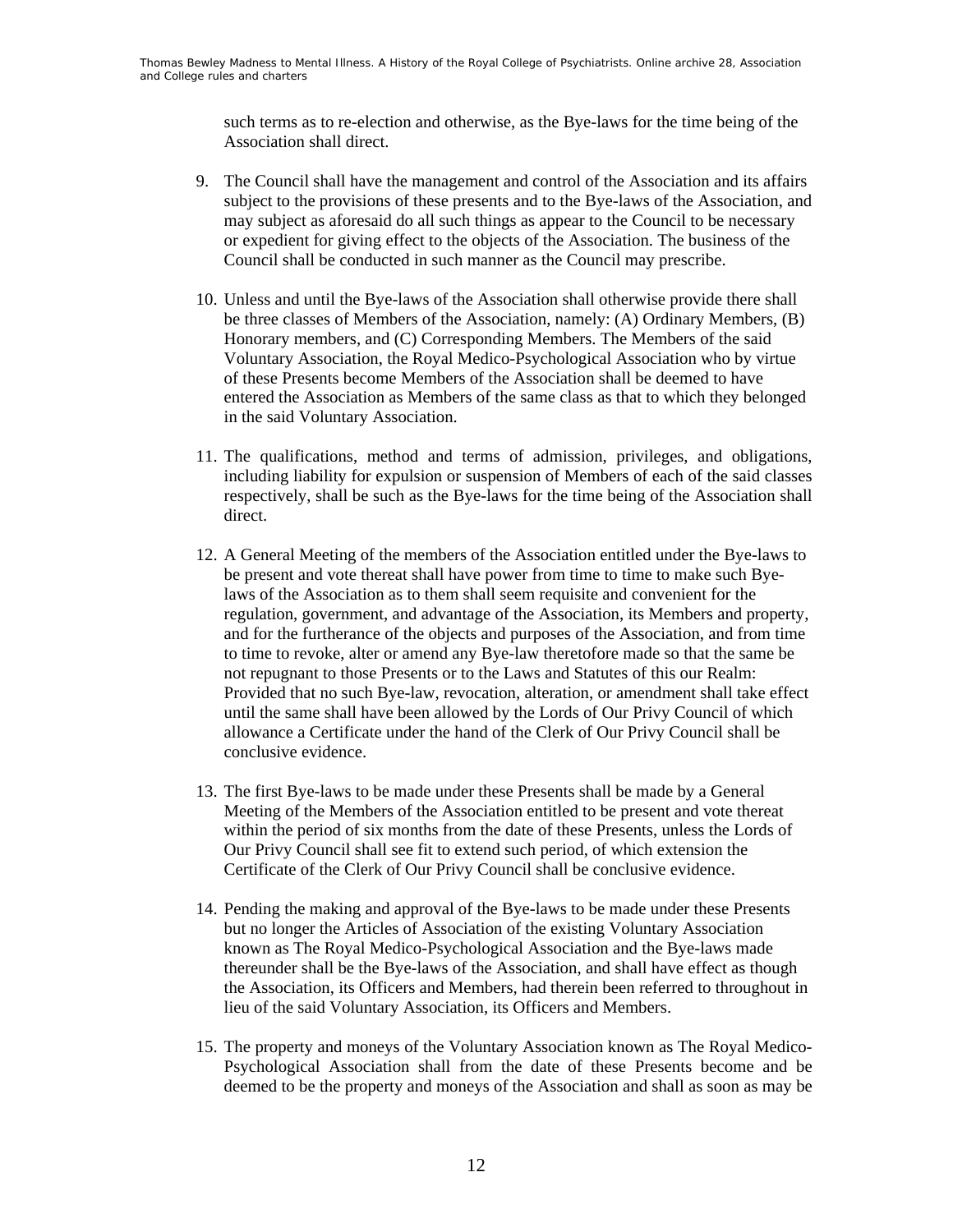such terms as to re-election and otherwise, as the Bye-laws for the time being of the Association shall direct.

- 9. The Council shall have the management and control of the Association and its affairs subject to the provisions of these presents and to the Bye-laws of the Association, and may subject as aforesaid do all such things as appear to the Council to be necessary or expedient for giving effect to the objects of the Association. The business of the Council shall be conducted in such manner as the Council may prescribe.
- 10. Unless and until the Bye-laws of the Association shall otherwise provide there shall be three classes of Members of the Association, namely: (A) Ordinary Members, (B) Honorary members, and (C) Corresponding Members. The Members of the said Voluntary Association, the Royal Medico-Psychological Association who by virtue of these Presents become Members of the Association shall be deemed to have entered the Association as Members of the same class as that to which they belonged in the said Voluntary Association.
- 11. The qualifications, method and terms of admission, privileges, and obligations, including liability for expulsion or suspension of Members of each of the said classes respectively, shall be such as the Bye-laws for the time being of the Association shall direct.
- 12. A General Meeting of the members of the Association entitled under the Bye-laws to be present and vote thereat shall have power from time to time to make such Byelaws of the Association as to them shall seem requisite and convenient for the regulation, government, and advantage of the Association, its Members and property, and for the furtherance of the objects and purposes of the Association, and from time to time to revoke, alter or amend any Bye-law theretofore made so that the same be not repugnant to those Presents or to the Laws and Statutes of this our Realm: Provided that no such Bye-law, revocation, alteration, or amendment shall take effect until the same shall have been allowed by the Lords of Our Privy Council of which allowance a Certificate under the hand of the Clerk of Our Privy Council shall be conclusive evidence.
- 13. The first Bye-laws to be made under these Presents shall be made by a General Meeting of the Members of the Association entitled to be present and vote thereat within the period of six months from the date of these Presents, unless the Lords of Our Privy Council shall see fit to extend such period, of which extension the Certificate of the Clerk of Our Privy Council shall be conclusive evidence.
- 14. Pending the making and approval of the Bye-laws to be made under these Presents but no longer the Articles of Association of the existing Voluntary Association known as The Royal Medico-Psychological Association and the Bye-laws made thereunder shall be the Bye-laws of the Association, and shall have effect as though the Association, its Officers and Members, had therein been referred to throughout in lieu of the said Voluntary Association, its Officers and Members.
- 15. The property and moneys of the Voluntary Association known as The Royal Medico-Psychological Association shall from the date of these Presents become and be deemed to be the property and moneys of the Association and shall as soon as may be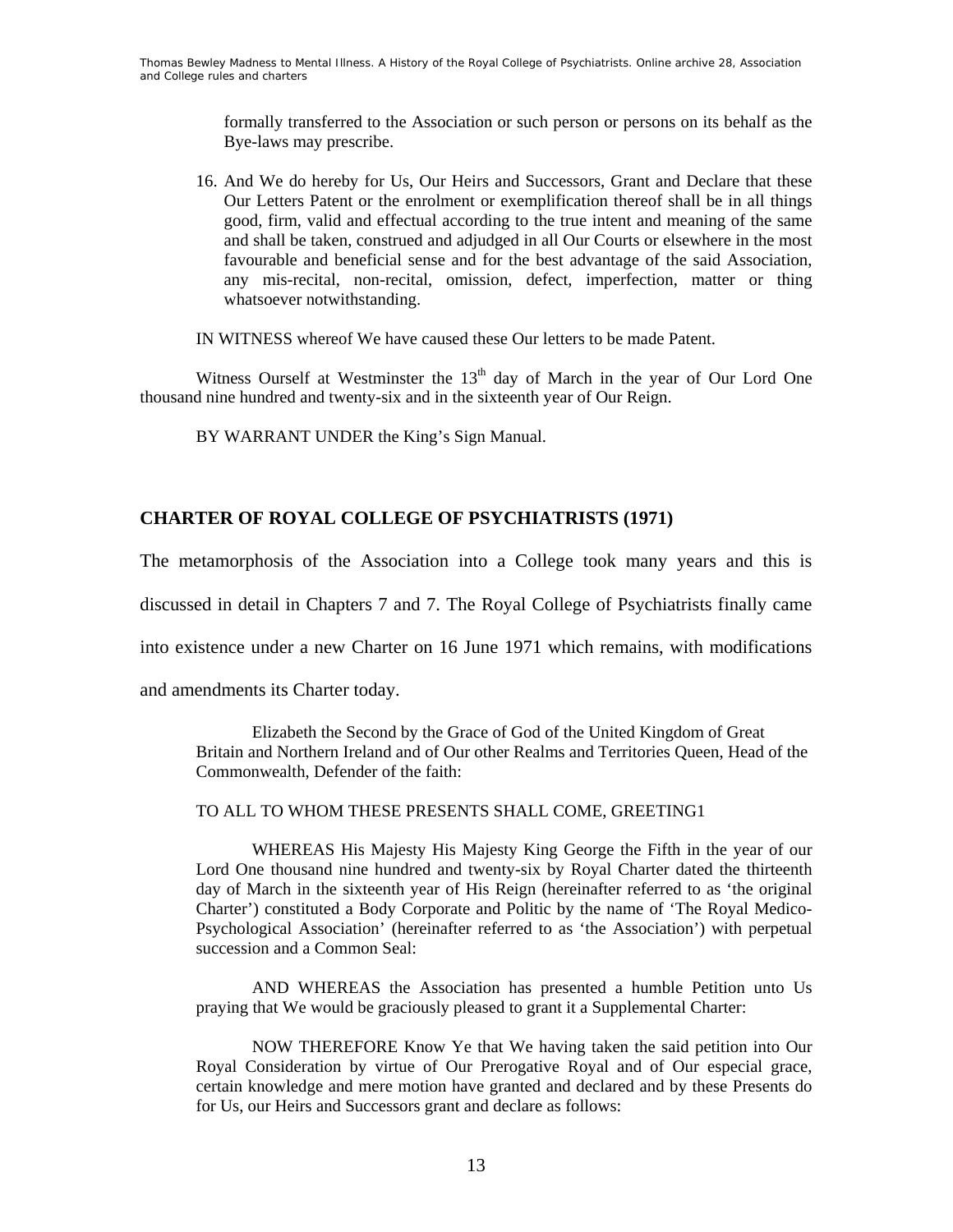formally transferred to the Association or such person or persons on its behalf as the Bye-laws may prescribe.

16. And We do hereby for Us, Our Heirs and Successors, Grant and Declare that these Our Letters Patent or the enrolment or exemplification thereof shall be in all things good, firm, valid and effectual according to the true intent and meaning of the same and shall be taken, construed and adjudged in all Our Courts or elsewhere in the most favourable and beneficial sense and for the best advantage of the said Association, any mis-recital, non-recital, omission, defect, imperfection, matter or thing whatsoever notwithstanding.

IN WITNESS whereof We have caused these Our letters to be made Patent.

Witness Ourself at Westminster the  $13<sup>th</sup>$  day of March in the year of Our Lord One thousand nine hundred and twenty-six and in the sixteenth year of Our Reign.

BY WARRANT UNDER the King's Sign Manual.

# **CHARTER OF ROYAL COLLEGE OF PSYCHIATRISTS (1971)**

The metamorphosis of the Association into a College took many years and this is

discussed in detail in Chapters 7 and 7. The Royal College of Psychiatrists finally came

into existence under a new Charter on 16 June 1971 which remains, with modifications

and amendments its Charter today.

 Elizabeth the Second by the Grace of God of the United Kingdom of Great Britain and Northern Ireland and of Our other Realms and Territories Queen, Head of the Commonwealth, Defender of the faith:

#### TO ALL TO WHOM THESE PRESENTS SHALL COME, GREETING1

 WHEREAS His Majesty His Majesty King George the Fifth in the year of our Lord One thousand nine hundred and twenty-six by Royal Charter dated the thirteenth day of March in the sixteenth year of His Reign (hereinafter referred to as 'the original Charter') constituted a Body Corporate and Politic by the name of 'The Royal Medico-Psychological Association' (hereinafter referred to as 'the Association') with perpetual succession and a Common Seal:

 AND WHEREAS the Association has presented a humble Petition unto Us praying that We would be graciously pleased to grant it a Supplemental Charter:

NOW THEREFORE Know Ye that We having taken the said petition into Our Royal Consideration by virtue of Our Prerogative Royal and of Our especial grace, certain knowledge and mere motion have granted and declared and by these Presents do for Us, our Heirs and Successors grant and declare as follows: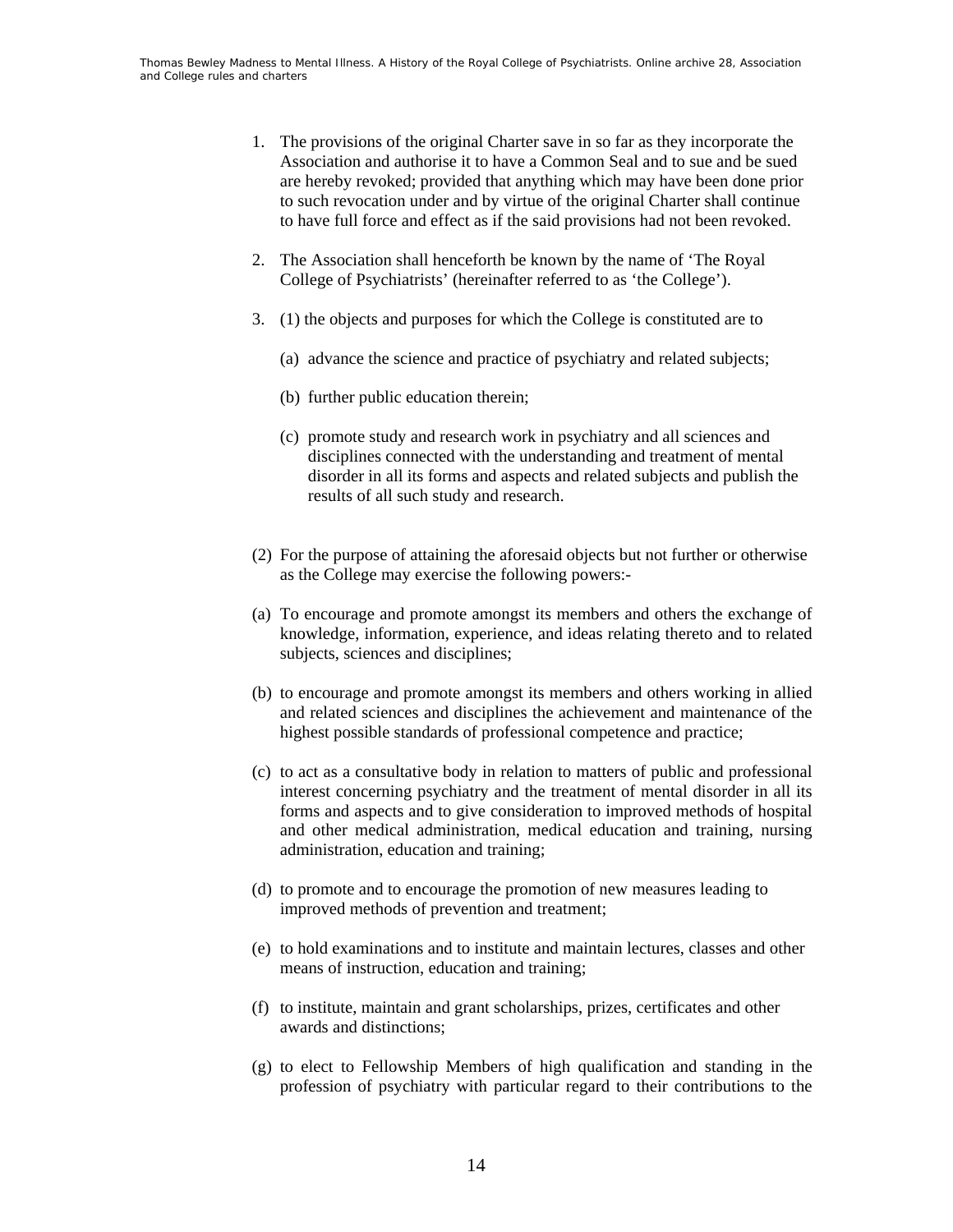- 1. The provisions of the original Charter save in so far as they incorporate the Association and authorise it to have a Common Seal and to sue and be sued are hereby revoked; provided that anything which may have been done prior to such revocation under and by virtue of the original Charter shall continue to have full force and effect as if the said provisions had not been revoked.
- 2. The Association shall henceforth be known by the name of 'The Royal College of Psychiatrists' (hereinafter referred to as 'the College').
- 3. (1) the objects and purposes for which the College is constituted are to
	- (a) advance the science and practice of psychiatry and related subjects;
	- (b) further public education therein;
	- (c) promote study and research work in psychiatry and all sciences and disciplines connected with the understanding and treatment of mental disorder in all its forms and aspects and related subjects and publish the results of all such study and research.
- (2) For the purpose of attaining the aforesaid objects but not further or otherwise as the College may exercise the following powers:-
- (a) To encourage and promote amongst its members and others the exchange of knowledge, information, experience, and ideas relating thereto and to related subjects, sciences and disciplines;
- (b) to encourage and promote amongst its members and others working in allied and related sciences and disciplines the achievement and maintenance of the highest possible standards of professional competence and practice;
- (c) to act as a consultative body in relation to matters of public and professional interest concerning psychiatry and the treatment of mental disorder in all its forms and aspects and to give consideration to improved methods of hospital and other medical administration, medical education and training, nursing administration, education and training;
- (d) to promote and to encourage the promotion of new measures leading to improved methods of prevention and treatment;
- (e) to hold examinations and to institute and maintain lectures, classes and other means of instruction, education and training;
- (f) to institute, maintain and grant scholarships, prizes, certificates and other awards and distinctions;
- (g) to elect to Fellowship Members of high qualification and standing in the profession of psychiatry with particular regard to their contributions to the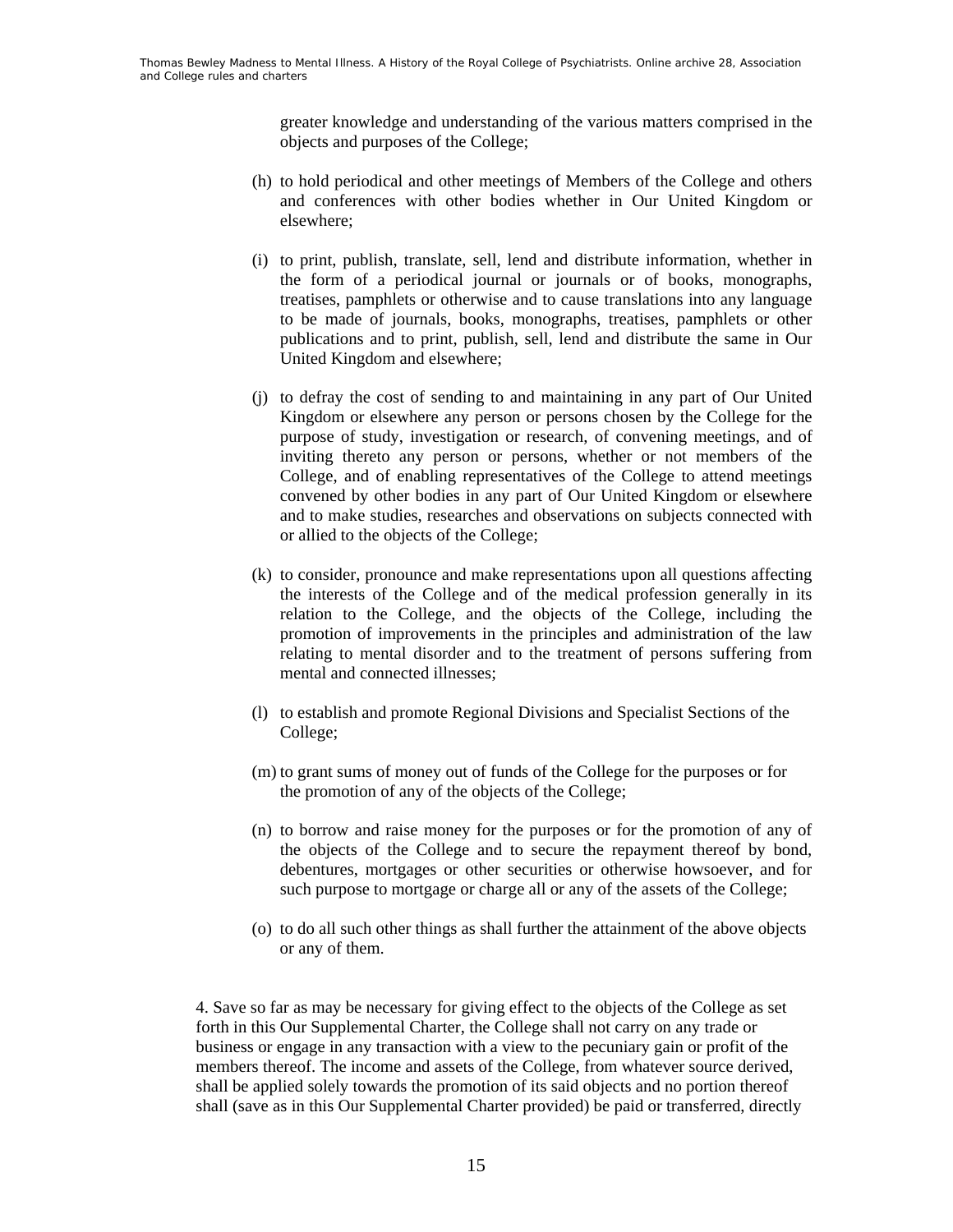greater knowledge and understanding of the various matters comprised in the objects and purposes of the College;

- (h) to hold periodical and other meetings of Members of the College and others and conferences with other bodies whether in Our United Kingdom or elsewhere;
- (i) to print, publish, translate, sell, lend and distribute information, whether in the form of a periodical journal or journals or of books, monographs, treatises, pamphlets or otherwise and to cause translations into any language to be made of journals, books, monographs, treatises, pamphlets or other publications and to print, publish, sell, lend and distribute the same in Our United Kingdom and elsewhere;
- (j) to defray the cost of sending to and maintaining in any part of Our United Kingdom or elsewhere any person or persons chosen by the College for the purpose of study, investigation or research, of convening meetings, and of inviting thereto any person or persons, whether or not members of the College, and of enabling representatives of the College to attend meetings convened by other bodies in any part of Our United Kingdom or elsewhere and to make studies, researches and observations on subjects connected with or allied to the objects of the College;
- (k) to consider, pronounce and make representations upon all questions affecting the interests of the College and of the medical profession generally in its relation to the College, and the objects of the College, including the promotion of improvements in the principles and administration of the law relating to mental disorder and to the treatment of persons suffering from mental and connected illnesses;
- (l) to establish and promote Regional Divisions and Specialist Sections of the College;
- (m) to grant sums of money out of funds of the College for the purposes or for the promotion of any of the objects of the College;
- (n) to borrow and raise money for the purposes or for the promotion of any of the objects of the College and to secure the repayment thereof by bond, debentures, mortgages or other securities or otherwise howsoever, and for such purpose to mortgage or charge all or any of the assets of the College;
- (o) to do all such other things as shall further the attainment of the above objects or any of them.

4. Save so far as may be necessary for giving effect to the objects of the College as set forth in this Our Supplemental Charter, the College shall not carry on any trade or business or engage in any transaction with a view to the pecuniary gain or profit of the members thereof. The income and assets of the College, from whatever source derived, shall be applied solely towards the promotion of its said objects and no portion thereof shall (save as in this Our Supplemental Charter provided) be paid or transferred, directly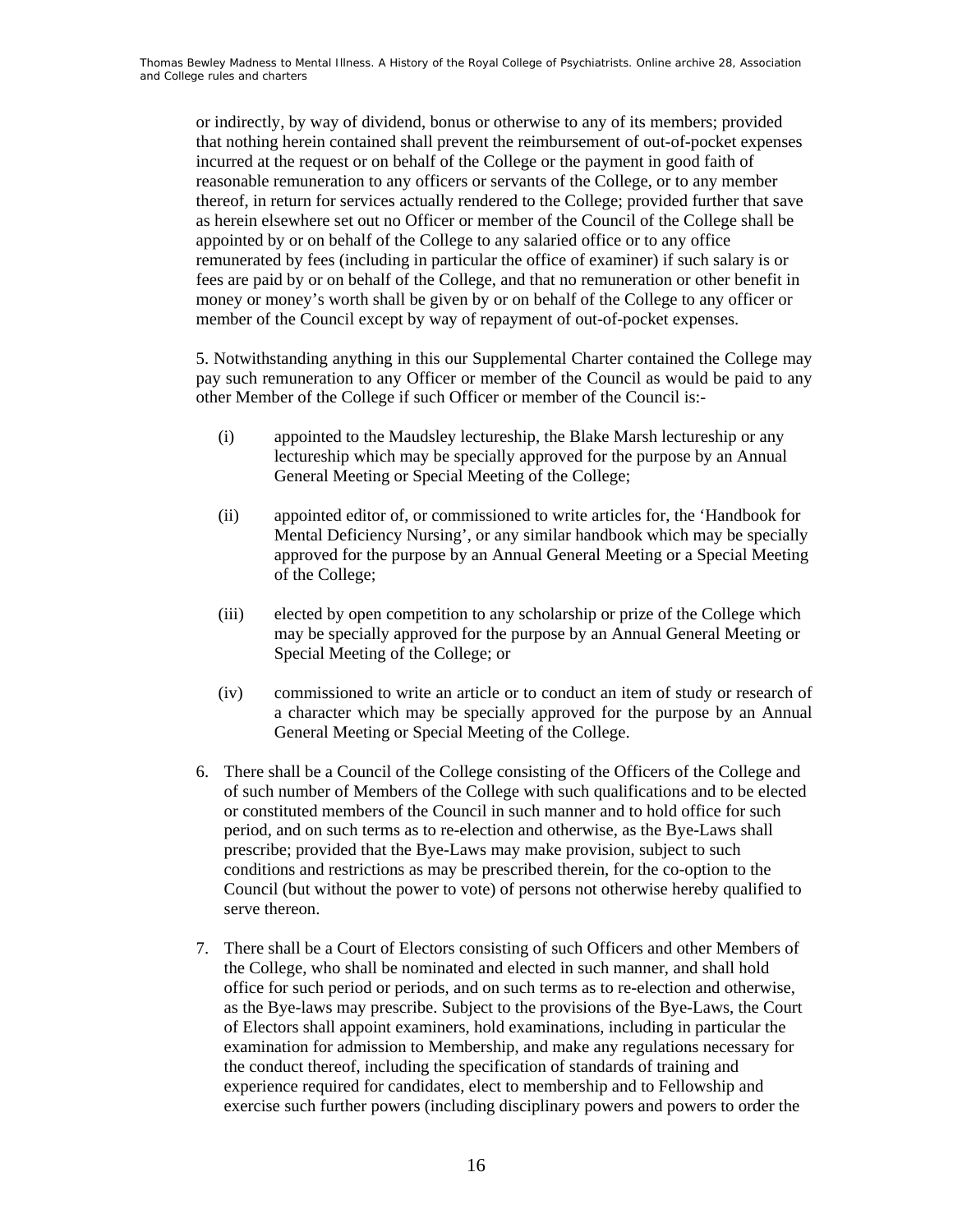or indirectly, by way of dividend, bonus or otherwise to any of its members; provided that nothing herein contained shall prevent the reimbursement of out-of-pocket expenses incurred at the request or on behalf of the College or the payment in good faith of reasonable remuneration to any officers or servants of the College, or to any member thereof, in return for services actually rendered to the College; provided further that save as herein elsewhere set out no Officer or member of the Council of the College shall be appointed by or on behalf of the College to any salaried office or to any office remunerated by fees (including in particular the office of examiner) if such salary is or fees are paid by or on behalf of the College, and that no remuneration or other benefit in money or money's worth shall be given by or on behalf of the College to any officer or member of the Council except by way of repayment of out-of-pocket expenses.

5. Notwithstanding anything in this our Supplemental Charter contained the College may pay such remuneration to any Officer or member of the Council as would be paid to any other Member of the College if such Officer or member of the Council is:-

- (i) appointed to the Maudsley lectureship, the Blake Marsh lectureship or any lectureship which may be specially approved for the purpose by an Annual General Meeting or Special Meeting of the College;
- (ii) appointed editor of, or commissioned to write articles for, the 'Handbook for Mental Deficiency Nursing', or any similar handbook which may be specially approved for the purpose by an Annual General Meeting or a Special Meeting of the College;
- (iii) elected by open competition to any scholarship or prize of the College which may be specially approved for the purpose by an Annual General Meeting or Special Meeting of the College; or
- (iv) commissioned to write an article or to conduct an item of study or research of a character which may be specially approved for the purpose by an Annual General Meeting or Special Meeting of the College.
- 6. There shall be a Council of the College consisting of the Officers of the College and of such number of Members of the College with such qualifications and to be elected or constituted members of the Council in such manner and to hold office for such period, and on such terms as to re-election and otherwise, as the Bye-Laws shall prescribe; provided that the Bye-Laws may make provision, subject to such conditions and restrictions as may be prescribed therein, for the co-option to the Council (but without the power to vote) of persons not otherwise hereby qualified to serve thereon.
- 7. There shall be a Court of Electors consisting of such Officers and other Members of the College, who shall be nominated and elected in such manner, and shall hold office for such period or periods, and on such terms as to re-election and otherwise, as the Bye-laws may prescribe. Subject to the provisions of the Bye-Laws, the Court of Electors shall appoint examiners, hold examinations, including in particular the examination for admission to Membership, and make any regulations necessary for the conduct thereof, including the specification of standards of training and experience required for candidates, elect to membership and to Fellowship and exercise such further powers (including disciplinary powers and powers to order the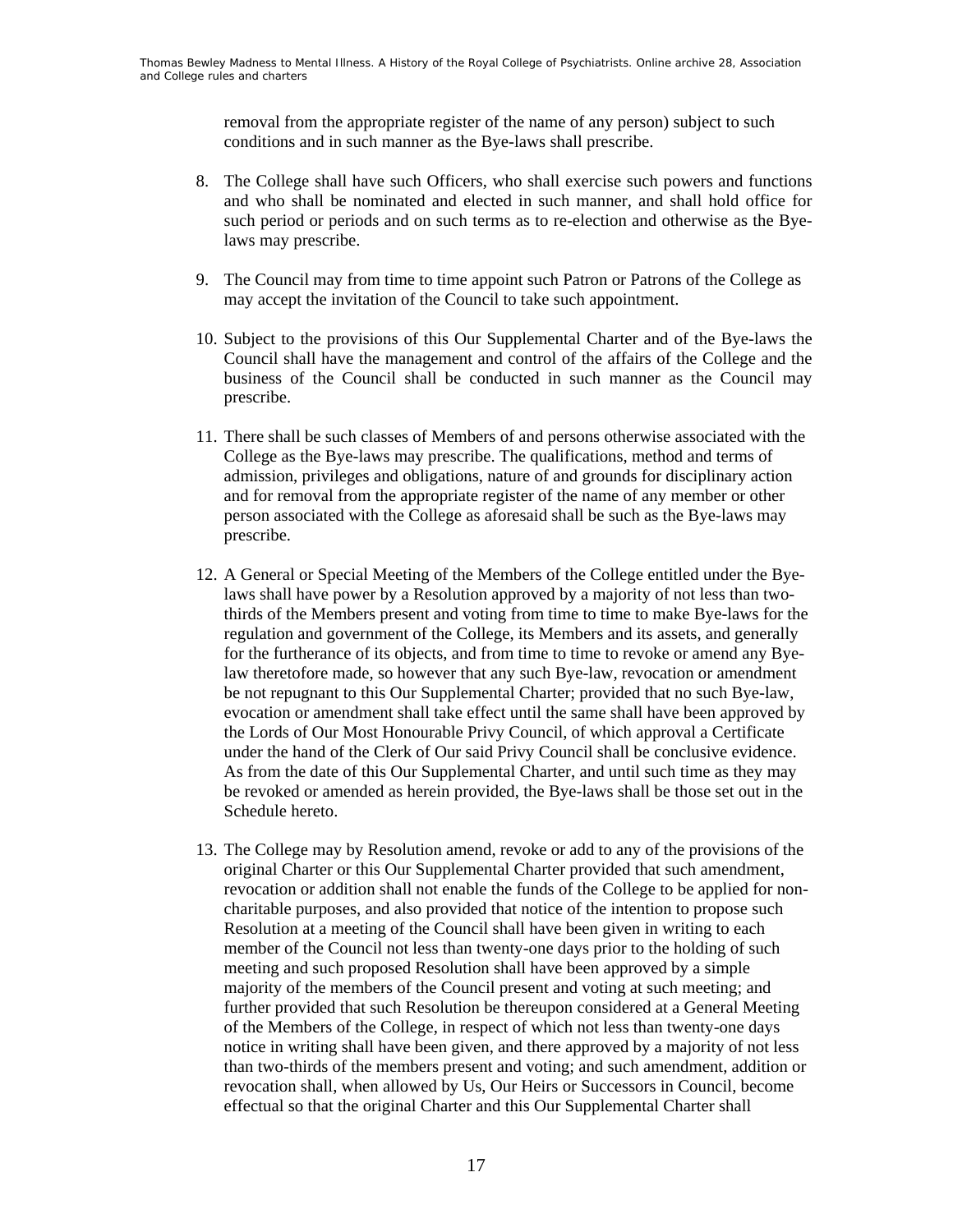removal from the appropriate register of the name of any person) subject to such conditions and in such manner as the Bye-laws shall prescribe.

- 8. The College shall have such Officers, who shall exercise such powers and functions and who shall be nominated and elected in such manner, and shall hold office for such period or periods and on such terms as to re-election and otherwise as the Byelaws may prescribe.
- 9. The Council may from time to time appoint such Patron or Patrons of the College as may accept the invitation of the Council to take such appointment.
- 10. Subject to the provisions of this Our Supplemental Charter and of the Bye-laws the Council shall have the management and control of the affairs of the College and the business of the Council shall be conducted in such manner as the Council may prescribe.
- 11. There shall be such classes of Members of and persons otherwise associated with the College as the Bye-laws may prescribe. The qualifications, method and terms of admission, privileges and obligations, nature of and grounds for disciplinary action and for removal from the appropriate register of the name of any member or other person associated with the College as aforesaid shall be such as the Bye-laws may prescribe.
- 12. A General or Special Meeting of the Members of the College entitled under the Byelaws shall have power by a Resolution approved by a majority of not less than twothirds of the Members present and voting from time to time to make Bye-laws for the regulation and government of the College, its Members and its assets, and generally for the furtherance of its objects, and from time to time to revoke or amend any Byelaw theretofore made, so however that any such Bye-law, revocation or amendment be not repugnant to this Our Supplemental Charter; provided that no such Bye-law, evocation or amendment shall take effect until the same shall have been approved by the Lords of Our Most Honourable Privy Council, of which approval a Certificate under the hand of the Clerk of Our said Privy Council shall be conclusive evidence. As from the date of this Our Supplemental Charter, and until such time as they may be revoked or amended as herein provided, the Bye-laws shall be those set out in the Schedule hereto.
- 13. The College may by Resolution amend, revoke or add to any of the provisions of the original Charter or this Our Supplemental Charter provided that such amendment, revocation or addition shall not enable the funds of the College to be applied for noncharitable purposes, and also provided that notice of the intention to propose such Resolution at a meeting of the Council shall have been given in writing to each member of the Council not less than twenty-one days prior to the holding of such meeting and such proposed Resolution shall have been approved by a simple majority of the members of the Council present and voting at such meeting; and further provided that such Resolution be thereupon considered at a General Meeting of the Members of the College, in respect of which not less than twenty-one days notice in writing shall have been given, and there approved by a majority of not less than two-thirds of the members present and voting; and such amendment, addition or revocation shall, when allowed by Us, Our Heirs or Successors in Council, become effectual so that the original Charter and this Our Supplemental Charter shall